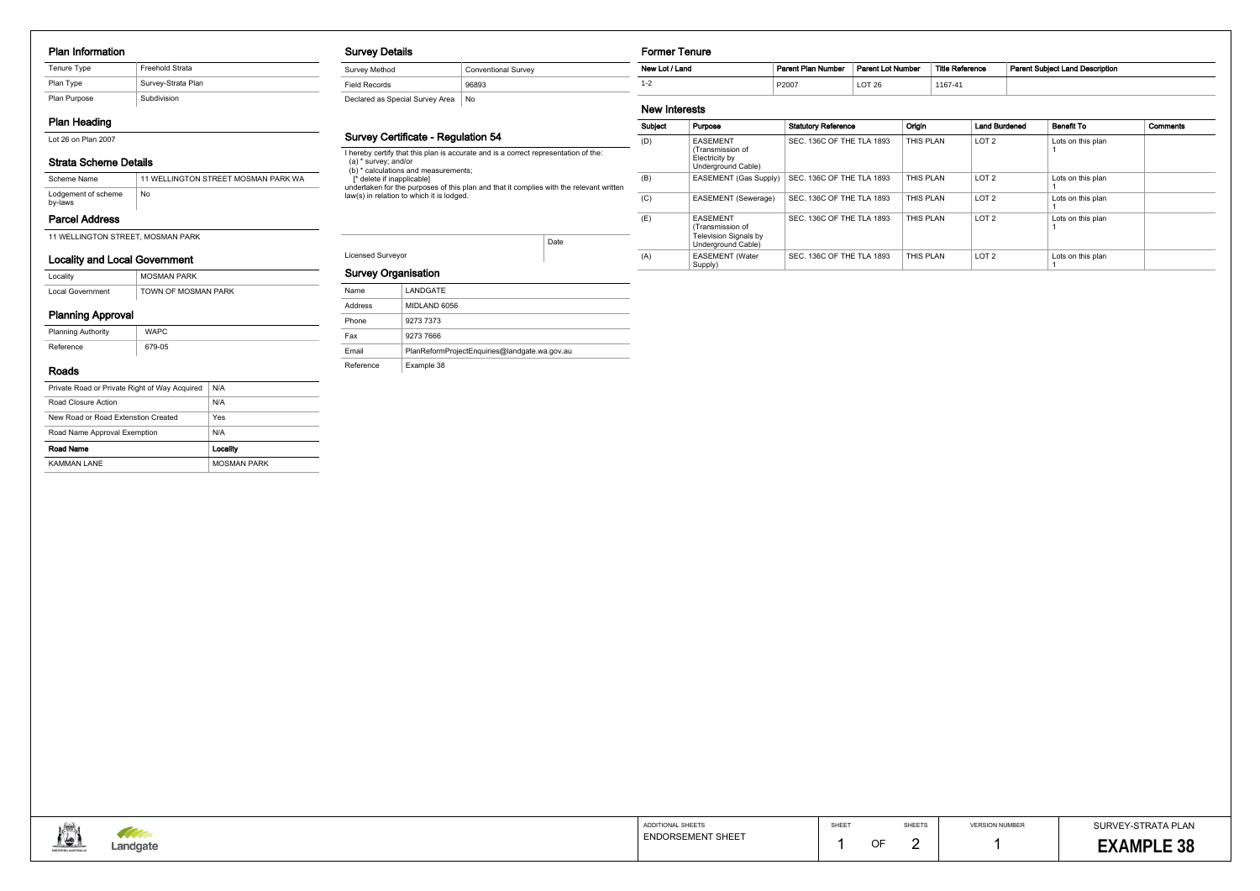## Plan Information

| Tenure Type  | <b>Freehold Strata</b> |  |
|--------------|------------------------|--|
| Plan Type    | Survey-Strata Plan     |  |
| Plan Purpose | Subdivision            |  |

# Plan Heading

Lot 26 on Plan 2007

# Strata Scheme Details

#### Parcel Address

11 WELLINGTON STREET, MOSMAN PARK

| Scheme Name                    | 11 WELLINGTON STREET MOSMAN PARK WA |
|--------------------------------|-------------------------------------|
| Lodgement of scheme<br>by-laws | No.                                 |

## Locality and Local Government

| Locality         | <b>MOSMAN PARK</b>  |  |  |  |
|------------------|---------------------|--|--|--|
| Local Government | TOWN OF MOSMAN PARK |  |  |  |

# Planning Approval

| <b>Planning Authority</b> | <b>WAPC</b> |
|---------------------------|-------------|
| Reference                 | 679-05      |

#### Roads

| KAMMAN I ANF                                  | <b>MOSMAN PARK</b> |
|-----------------------------------------------|--------------------|
| Road Name                                     | Locality           |
| Road Name Approval Exemption                  | N/A                |
| New Road or Road Extenstion Created           | Yes                |
| Road Closure Action                           | N/A                |
| Private Road or Private Right of Way Acquired | N/A                |
|                                               |                    |

## Survey Details

| Survey Method                   | <b>Conventional Survey</b> |
|---------------------------------|----------------------------|
| Field Records                   | 96893                      |
| Declared as Special Survey Area | No.                        |

# Survey Certificate - Regulation 54

I hereby certify that this plan is accurate and is a correct representation of the: (a) \* survey; and/or (b) \* calculations and measurements;

[\* delete if inapplicable]

undertaken for the purposes of this plan and that it complies with the relevant written law(s) in relation to which it is lodged.

## Licensed Surveyor

Date

| <b>Survey Organisation</b> |                                               |  |  |
|----------------------------|-----------------------------------------------|--|--|
| Name                       | LANDGATE                                      |  |  |
| Address                    | MIDLAND 6056                                  |  |  |
| Phone                      | 9273 7373                                     |  |  |
| Fax                        | 9273 7666                                     |  |  |
| Fmail                      | PlanReformProjectEnguiries@landgate.wa.gov.au |  |  |
| Reference                  | Example 38                                    |  |  |

## Former Tenure

#### New Interests

| Subject | Purpose                                                                                   | <b>Statutory Reference</b> | Origin    | <b>Land Burdened</b> | <b>Benefit To</b> | <b>Comments</b> |
|---------|-------------------------------------------------------------------------------------------|----------------------------|-----------|----------------------|-------------------|-----------------|
| (D)     | <b>EASEMENT</b><br>(Transmission of<br>Electricity by<br>Underground Cable)               | SEC. 136C OF THE TLA 1893  | THIS PLAN | LOT <sub>2</sub>     | Lots on this plan |                 |
| (B)     | EASEMENT (Gas Supply)                                                                     | SEC. 136C OF THE TLA 1893  | THIS PLAN | LOT <sub>2</sub>     | Lots on this plan |                 |
| (C)     | EASEMENT (Sewerage)                                                                       | SEC. 136C OF THE TLA 1893  | THIS PLAN | LOT <sub>2</sub>     | Lots on this plan |                 |
| (E)     | <b>EASEMENT</b><br>(Transmission of<br><b>Television Signals by</b><br>Underground Cable) | SEC. 136C OF THE TLA 1893  | THIS PLAN | LOT <sub>2</sub>     | Lots on this plan |                 |
| (A)     | <b>EASEMENT</b> (Water<br>Supply)                                                         | SEC. 136C OF THE TLA 1893  | THIS PLAN | LOT <sub>2</sub>     | Lots on this plan |                 |

| Lot / Land<br>New | ⊪ Parent Plan Number   | Parent Lot Number | <b>Title Reference</b> | <b>Land Description</b><br>Paren<br>"Subiect - |
|-------------------|------------------------|-------------------|------------------------|------------------------------------------------|
|                   | P2007<br>$\sim$ $\sim$ | OT 26<br>--       | 1167-41                |                                                |

SURVEY-STRATA PLAN 38 **EXAMPLE 38**